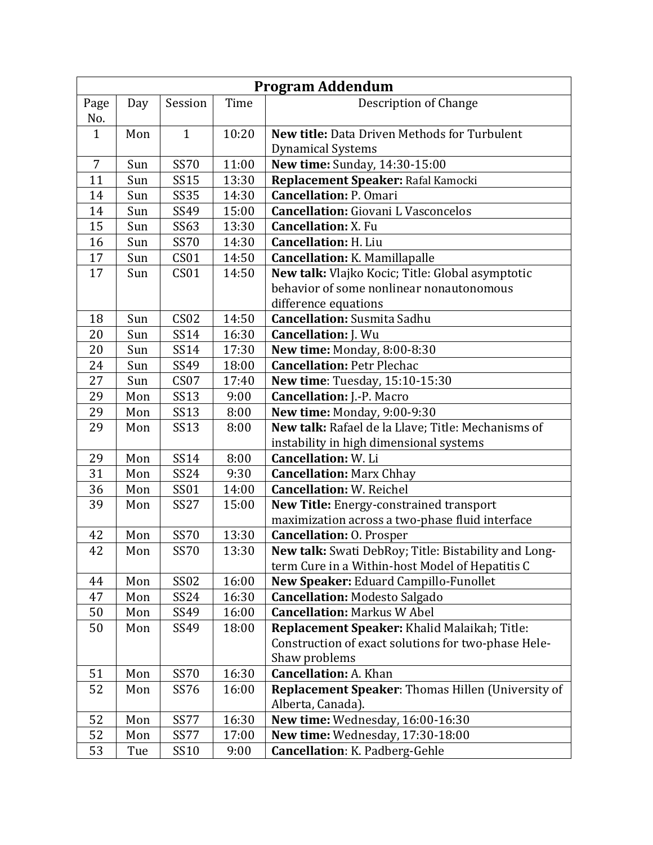| <b>Program Addendum</b> |     |                  |       |                                                      |  |
|-------------------------|-----|------------------|-------|------------------------------------------------------|--|
| Page                    | Day | Session          | Time  | Description of Change                                |  |
| No.                     |     |                  |       |                                                      |  |
| $\mathbf{1}$            | Mon | $\mathbf{1}$     | 10:20 | New title: Data Driven Methods for Turbulent         |  |
|                         |     |                  |       | <b>Dynamical Systems</b>                             |  |
| $\overline{7}$          | Sun | <b>SS70</b>      | 11:00 | New time: Sunday, 14:30-15:00                        |  |
| 11                      | Sun | <b>SS15</b>      | 13:30 | Replacement Speaker: Rafal Kamocki                   |  |
| 14                      | Sun | <b>SS35</b>      | 14:30 | <b>Cancellation: P. Omari</b>                        |  |
| 14                      | Sun | SS49             | 15:00 | <b>Cancellation:</b> Giovani L Vasconcelos           |  |
| 15                      | Sun | SS63             | 13:30 | <b>Cancellation: X. Fu</b>                           |  |
| 16                      | Sun | <b>SS70</b>      | 14:30 | <b>Cancellation: H. Liu</b>                          |  |
| 17                      | Sun | CS <sub>01</sub> | 14:50 | <b>Cancellation: K. Mamillapalle</b>                 |  |
| 17                      | Sun | CS <sub>01</sub> | 14:50 | New talk: Vlajko Kocic; Title: Global asymptotic     |  |
|                         |     |                  |       | behavior of some nonlinear nonautonomous             |  |
|                         |     |                  |       | difference equations                                 |  |
| 18                      | Sun | CS <sub>02</sub> | 14:50 | <b>Cancellation:</b> Susmita Sadhu                   |  |
| 20                      | Sun | SS14             | 16:30 | <b>Cancellation: J. Wu</b>                           |  |
| 20                      | Sun | SS14             | 17:30 | New time: Monday, 8:00-8:30                          |  |
| 24                      | Sun | SS49             | 18:00 | <b>Cancellation: Petr Plechac</b>                    |  |
| 27                      | Sun | CS <sub>07</sub> | 17:40 | New time: Tuesday, 15:10-15:30                       |  |
| 29                      | Mon | SS13             | 9:00  | <b>Cancellation: J.-P. Macro</b>                     |  |
| 29                      | Mon | <b>SS13</b>      | 8:00  | New time: Monday, 9:00-9:30                          |  |
| 29                      | Mon | SS13             | 8:00  | New talk: Rafael de la Llave; Title: Mechanisms of   |  |
|                         |     |                  |       | instability in high dimensional systems              |  |
| 29                      | Mon | SS14             | 8:00  | <b>Cancellation: W. Li</b>                           |  |
| 31                      | Mon | SS24             | 9:30  | <b>Cancellation: Marx Chhay</b>                      |  |
| 36                      | Mon | SS01             | 14:00 | <b>Cancellation: W. Reichel</b>                      |  |
| 39                      | Mon | <b>SS27</b>      | 15:00 | New Title: Energy-constrained transport              |  |
|                         |     |                  |       | maximization across a two-phase fluid interface      |  |
| 42                      | Mon | <b>SS70</b>      | 13:30 | <b>Cancellation: O. Prosper</b>                      |  |
| 42                      | Mon | <b>SS70</b>      | 13:30 | New talk: Swati DebRoy; Title: Bistability and Long- |  |
|                         |     |                  |       | term Cure in a Within-host Model of Hepatitis C      |  |
| 44                      | Mon | <b>SS02</b>      | 16:00 | New Speaker: Eduard Campillo-Funollet                |  |
| 47                      | Mon | SS24             | 16:30 | <b>Cancellation: Modesto Salgado</b>                 |  |
| 50                      | Mon | SS49             | 16:00 | <b>Cancellation: Markus W Abel</b>                   |  |
| 50                      | Mon | SS49             | 18:00 | Replacement Speaker: Khalid Malaikah; Title:         |  |
|                         |     |                  |       | Construction of exact solutions for two-phase Hele-  |  |
|                         |     |                  |       | Shaw problems                                        |  |
| 51                      | Mon | <b>SS70</b>      | 16:30 | <b>Cancellation: A. Khan</b>                         |  |
| 52                      | Mon | SS76             | 16:00 | Replacement Speaker: Thomas Hillen (University of    |  |
|                         |     |                  |       | Alberta, Canada).                                    |  |
| 52                      | Mon | <b>SS77</b>      | 16:30 | New time: Wednesday, 16:00-16:30                     |  |
| 52                      | Mon | <b>SS77</b>      | 17:00 | New time: Wednesday, 17:30-18:00                     |  |
| 53                      | Tue | SS10             | 9:00  | Cancellation: K. Padberg-Gehle                       |  |